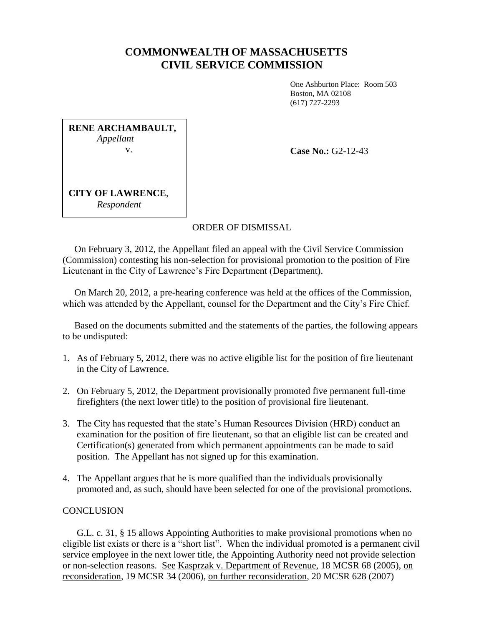## **COMMONWEALTH OF MASSACHUSETTS CIVIL SERVICE COMMISSION**

One Ashburton Place: Room 503 Boston, MA 02108 (617) 727-2293

**RENE ARCHAMBAULT,** *Appellant* v.

**Case No.:** G2-12-43

**CITY OF LAWRENCE**, *Respondent*

## ORDER OF DISMISSAL

 On February 3, 2012, the Appellant filed an appeal with the Civil Service Commission (Commission) contesting his non-selection for provisional promotion to the position of Fire Lieutenant in the City of Lawrence's Fire Department (Department).

 On March 20, 2012, a pre-hearing conference was held at the offices of the Commission, which was attended by the Appellant, counsel for the Department and the City's Fire Chief.

 Based on the documents submitted and the statements of the parties, the following appears to be undisputed:

- 1. As of February 5, 2012, there was no active eligible list for the position of fire lieutenant in the City of Lawrence.
- 2. On February 5, 2012, the Department provisionally promoted five permanent full-time firefighters (the next lower title) to the position of provisional fire lieutenant.
- 3. The City has requested that the state's Human Resources Division (HRD) conduct an examination for the position of fire lieutenant, so that an eligible list can be created and Certification(s) generated from which permanent appointments can be made to said position. The Appellant has not signed up for this examination.
- 4. The Appellant argues that he is more qualified than the individuals provisionally promoted and, as such, should have been selected for one of the provisional promotions.

## **CONCLUSION**

 G.L. c. 31, § 15 allows Appointing Authorities to make provisional promotions when no eligible list exists or there is a "short list". When the individual promoted is a permanent civil service employee in the next lower title, the Appointing Authority need not provide selection or non-selection reasons. See Kasprzak v. Department of Revenue, 18 MCSR 68 (2005), on reconsideration, 19 MCSR 34 (2006), on further reconsideration, 20 MCSR 628 (2007)